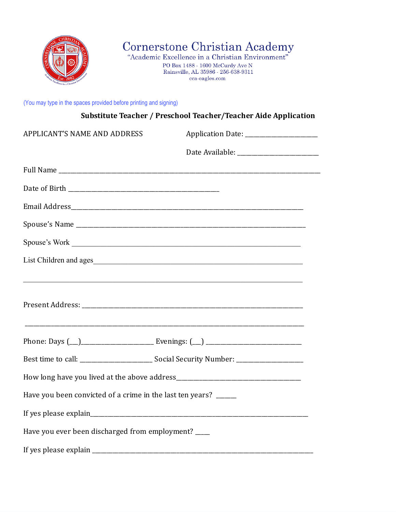

Cornerstone Christian Academy<br>"Academic Excellence in a Christian Environment"

PO Box 1488 - 1600 McCurdy Ave N Rainsville, AL 35986 - 256-638-9311 cca-eagles.com

(You may type in the spaces provided before printing and signing)

|                                                                  | Substitute Teacher / Preschool Teacher/Teacher Aide Application |
|------------------------------------------------------------------|-----------------------------------------------------------------|
| APPLICANT'S NAME AND ADDRESS                                     | Application Date: ________________________                      |
|                                                                  |                                                                 |
|                                                                  |                                                                 |
|                                                                  |                                                                 |
|                                                                  |                                                                 |
|                                                                  |                                                                 |
|                                                                  | Spouse's Work                                                   |
|                                                                  |                                                                 |
|                                                                  |                                                                 |
|                                                                  |                                                                 |
|                                                                  |                                                                 |
|                                                                  |                                                                 |
|                                                                  |                                                                 |
| Have you been convicted of a crime in the last ten years? ______ |                                                                 |
|                                                                  |                                                                 |
| Have you ever been discharged from employment? ____              |                                                                 |
|                                                                  |                                                                 |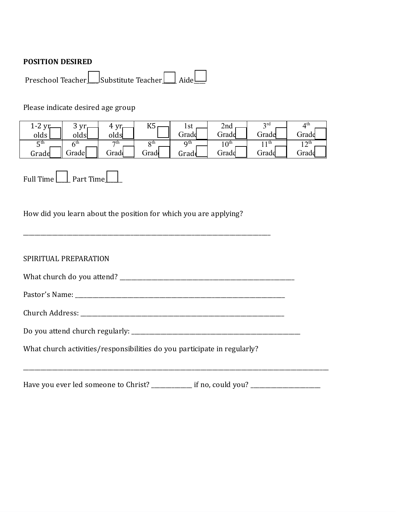### **POSITION DESIRED**

Preschool Teacher\_\_\_\_ Substitute Teacher\_\_\_\_\_ Aide\_\_\_\_

# Please indicate desired age group

| $\sim$<br>` −∠ ∶ | vr    | Δ.<br>vr  | I/T<br>טונ | $\mathbf{C}$ <sup>1</sup><br>1 O U | 2nd              | 2rd<br>ັ | ⊿th        |
|------------------|-------|-----------|------------|------------------------------------|------------------|----------|------------|
| olds             | olds  | olds      |            | Grade                              | Grade            | Grade    | ⌒<br>Grade |
| ςth<br>ັ         | ∠th   | $\tau$ th | oth        | Q <sup>th</sup>                    | $10^{\text{th}}$ | 1 th     | ∣ ∩th      |
| Grade            | Grade | ∍radd     | ⌒<br>drado | Grade                              | ∍rade            | Grade    | Grade      |

Full Time  $\Box$  Part Time

How did you learn about the position for which you are applying?

| SPIRITUAL PREPARATION |
|-----------------------|
|                       |

| What church do you attend? |  |
|----------------------------|--|
|----------------------------|--|

Pastor's Name: \_\_\_\_\_\_\_\_\_\_\_\_\_\_\_\_\_\_\_\_\_\_\_\_\_\_\_\_\_\_\_\_\_\_\_\_\_\_\_\_\_\_\_\_\_\_\_\_\_\_\_\_\_\_\_\_\_\_\_\_\_\_\_\_\_\_\_\_\_\_\_\_

\_\_\_\_\_\_\_\_\_\_\_\_\_\_\_\_\_\_\_\_\_\_\_\_\_\_\_\_\_\_\_\_\_\_\_\_\_\_\_\_\_\_\_\_\_\_\_\_\_\_\_\_\_\_\_\_\_\_\_\_\_\_\_\_\_\_\_\_\_\_\_\_\_\_\_\_\_\_\_\_\_\_\_\_\_

Church Address: \_\_\_\_\_\_\_\_\_\_\_\_\_\_\_\_\_\_\_\_\_\_\_\_\_\_\_\_\_\_\_\_\_\_\_\_\_\_\_\_\_\_\_\_\_\_\_\_\_\_\_\_\_\_\_\_\_\_\_\_\_\_\_\_\_\_\_\_\_\_

| Do you attend church regularly: |  |  |
|---------------------------------|--|--|
|                                 |  |  |

What church activities/responsibilities do you participate in regularly?

Have you ever led someone to Christ? \_\_\_\_\_\_\_\_\_\_\_\_\_\_ if no, could you? \_\_\_\_\_\_\_\_\_\_\_\_\_\_\_\_\_\_\_\_\_\_\_\_

\_\_\_\_\_\_\_\_\_\_\_\_\_\_\_\_\_\_\_\_\_\_\_\_\_\_\_\_\_\_\_\_\_\_\_\_\_\_\_\_\_\_\_\_\_\_\_\_\_\_\_\_\_\_\_\_\_\_\_\_\_\_\_\_\_\_\_\_\_\_\_\_\_\_\_\_\_\_\_\_\_\_\_\_\_\_\_\_\_\_\_\_\_\_\_\_\_\_\_\_\_\_\_\_\_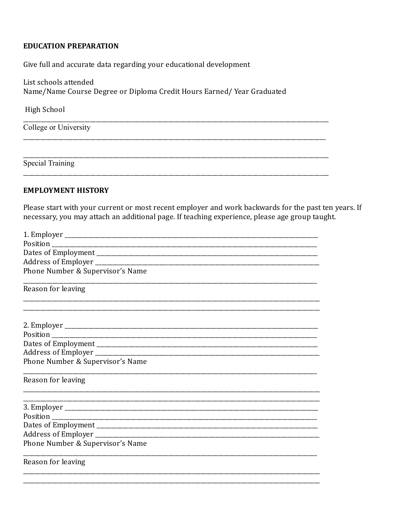### **EDUCATION PREPARATION**

Give full and accurate data regarding your educational development

List schools attended Name/Name Course Degree or Diploma Credit Hours Earned/Year Graduated

High School

College or University

**Special Training** 

#### **EMPLOYMENT HISTORY**

Please start with your current or most recent employer and work backwards for the past ten years. If necessary, you may attach an additional page. If teaching experience, please age group taught.

| Phone Number & Supervisor's Name |
|----------------------------------|
| Reason for leaving               |
|                                  |
|                                  |
|                                  |
|                                  |
|                                  |
| Phone Number & Supervisor's Name |
| Reason for leaving               |
|                                  |
|                                  |
|                                  |
|                                  |
| Phone Number & Supervisor's Name |
| Reason for leaving               |
|                                  |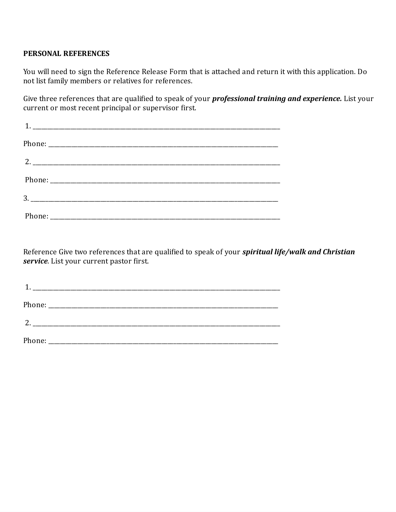## **PERSONAL REFERENCES**

You will need to sign the Reference Release Form that is attached and return it with this application. Do not list family members or relatives for references.

Give three references that are qualified to speak of your *professional training and experience.* List your current or most recent principal or supervisor first.

Reference Give two references that are qualified to speak of your *spiritual life/walk and Christian service*. List your current pastor first.

| 2. |  |  |
|----|--|--|
|    |  |  |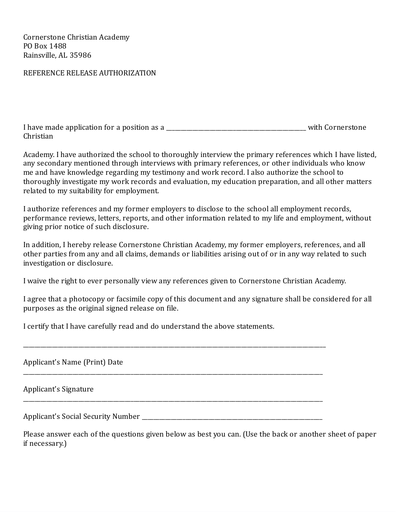Cornerstone Christian Academy PO Box 1488 Rainsville, AL 35986

#### REFERENCE RELEASE AUTHORIZATION

| I have made application for a position as a | with Cornerstone |
|---------------------------------------------|------------------|
| Christian                                   |                  |

Academy. I have authorized the school to thoroughly interview the primary references which I have listed, any secondary mentioned through interviews with primary references, or other individuals who know me and have knowledge regarding my testimony and work record. I also authorize the school to thoroughly investigate my work records and evaluation, my education preparation, and all other matters related to my suitability for employment.

I authorize references and my former employers to disclose to the school all employment records, performance reviews, letters, reports, and other information related to my life and employment, without giving prior notice of such disclosure.

In addition, I hereby release Cornerstone Christian Academy, my former employers, references, and all other parties from any and all claims, demands or liabilities arising out of or in any way related to such investigation or disclosure.

I waive the right to ever personally view any references given to Cornerstone Christian Academy.

I agree that a photocopy or facsimile copy of this document and any signature shall be considered for all purposes as the original signed release on file.

I certify that I have carefully read and do understand the above statements.

Applicant's Name (Print) Date

Applicant's Signature

Applicant's Social Security Number

\_\_\_\_\_\_\_\_\_\_\_\_\_\_\_\_\_\_\_\_\_\_\_\_\_\_\_\_\_\_\_\_\_\_\_\_\_\_\_\_\_\_\_\_\_\_\_\_\_\_\_\_\_\_\_\_\_\_\_\_\_\_\_\_\_\_\_\_\_\_\_\_\_\_\_\_\_\_\_\_\_\_\_\_\_\_\_\_\_\_\_\_\_\_\_\_\_\_\_\_\_\_\_\_

\_\_\_\_\_\_\_\_\_\_\_\_\_\_\_\_\_\_\_\_\_\_\_\_\_\_\_\_\_\_\_\_\_\_\_\_\_\_\_\_\_\_\_\_\_\_\_\_\_\_\_\_\_\_\_\_\_\_\_\_\_\_\_\_\_\_\_\_\_\_\_\_\_\_\_\_\_\_\_\_\_\_\_\_\_\_\_\_\_\_\_\_\_\_\_\_\_\_\_\_\_\_\_

\_\_\_\_\_\_\_\_\_\_\_\_\_\_\_\_\_\_\_\_\_\_\_\_\_\_\_\_\_\_\_\_\_\_\_\_\_\_\_\_\_\_\_\_\_\_\_\_\_\_\_\_\_\_\_\_\_\_\_\_\_\_\_\_\_\_\_\_\_\_\_\_\_\_\_\_\_\_\_\_\_\_\_\_\_\_\_\_\_\_\_\_\_\_\_\_\_\_\_\_\_\_\_

Please answer each of the questions given below as best you can. (Use the back or another sheet of paper if necessary.)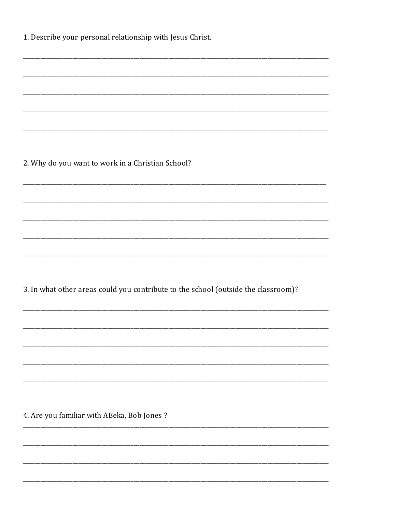| 1. Describe your personal relationship with Jesus Christ. |  |  |
|-----------------------------------------------------------|--|--|
|-----------------------------------------------------------|--|--|

2. Why do you want to work in a Christian School?

3. In what other areas could you contribute to the school (outside the classroom)?

4. Are you familiar with ABeka, Bob Jones?